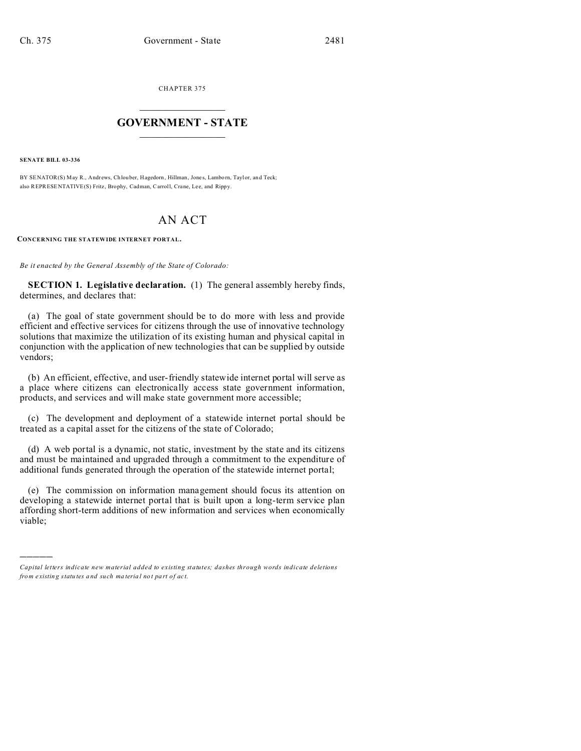CHAPTER 375  $\overline{\phantom{a}}$  , where  $\overline{\phantom{a}}$ 

## **GOVERNMENT - STATE**  $\_$   $\_$   $\_$   $\_$   $\_$   $\_$   $\_$   $\_$   $\_$

**SENATE BILL 03-336**

)))))

BY SENATOR(S) May R., Andrews, Chlouber, Hagedorn, Hillman, Jones, Lamborn, Taylor, and Teck; also REPRESENTATIVE(S) Fritz, Brophy, Cadman, Carroll, Crane, Lee, and Rippy.

## AN ACT

**CONCERNING THE STATEWIDE INTERNET PORTAL.**

*Be it enacted by the General Assembly of the State of Colorado:*

**SECTION 1. Legislative declaration.** (1) The general assembly hereby finds, determines, and declares that:

(a) The goal of state government should be to do more with less and provide efficient and effective services for citizens through the use of innovative technology solutions that maximize the utilization of its existing human and physical capital in conjunction with the application of new technologies that can be supplied by outside vendors;

(b) An efficient, effective, and user-friendly statewide internet portal will serve as a place where citizens can electronically access state government information, products, and services and will make state government more accessible;

(c) The development and deployment of a statewide internet portal should be treated as a capital asset for the citizens of the state of Colorado;

(d) A web portal is a dynamic, not static, investment by the state and its citizens and must be maintained and upgraded through a commitment to the expenditure of additional funds generated through the operation of the statewide internet portal;

(e) The commission on information management should focus its attention on developing a statewide internet portal that is built upon a long-term service plan affording short-term additions of new information and services when economically viable;

*Capital letters indicate new material added to existing statutes; dashes through words indicate deletions from e xistin g statu tes a nd such ma teria l no t pa rt of ac t.*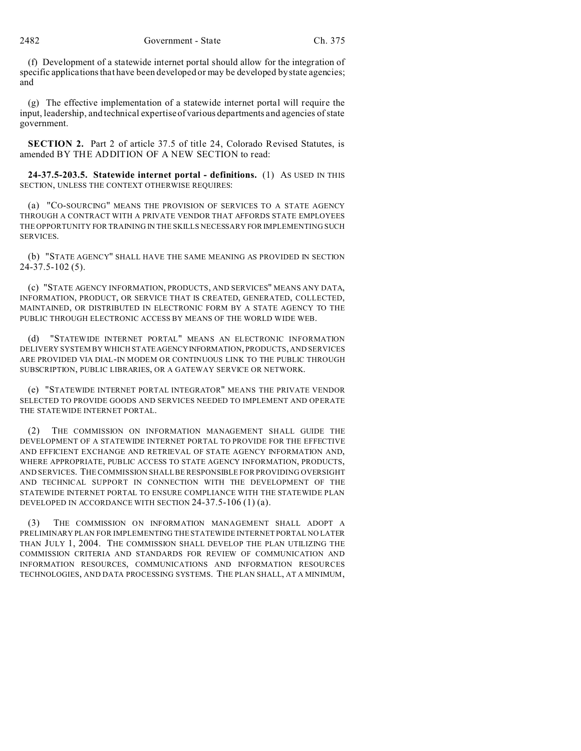(f) Development of a statewide internet portal should allow for the integration of specific applications that have been developed or may be developed by state agencies; and

(g) The effective implementation of a statewide internet portal will require the input, leadership, and technical expertise of various departments and agencies of state government.

**SECTION 2.** Part 2 of article 37.5 of title 24, Colorado Revised Statutes, is amended BY THE ADDITION OF A NEW SECTION to read:

**24-37.5-203.5. Statewide internet portal - definitions.** (1) AS USED IN THIS SECTION, UNLESS THE CONTEXT OTHERWISE REQUIRES:

(a) "CO-SOURCING" MEANS THE PROVISION OF SERVICES TO A STATE AGENCY THROUGH A CONTRACT WITH A PRIVATE VENDOR THAT AFFORDS STATE EMPLOYEES THE OPPORTUNITY FOR TRAINING IN THE SKILLS NECESSARY FOR IMPLEMENTING SUCH SERVICES.

(b) "STATE AGENCY" SHALL HAVE THE SAME MEANING AS PROVIDED IN SECTION 24-37.5-102 (5).

(c) "STATE AGENCY INFORMATION, PRODUCTS, AND SERVICES" MEANS ANY DATA, INFORMATION, PRODUCT, OR SERVICE THAT IS CREATED, GENERATED, COLLECTED, MAINTAINED, OR DISTRIBUTED IN ELECTRONIC FORM BY A STATE AGENCY TO THE PUBLIC THROUGH ELECTRONIC ACCESS BY MEANS OF THE WORLD WIDE WEB.

(d) "STATEWIDE INTERNET PORTAL" MEANS AN ELECTRONIC INFORMATION DELIVERY SYSTEM BY WHICH STATEAGENCYINFORMATION, PRODUCTS, AND SERVICES ARE PROVIDED VIA DIAL-IN MODEM OR CONTINUOUS LINK TO THE PUBLIC THROUGH SUBSCRIPTION, PUBLIC LIBRARIES, OR A GATEWAY SERVICE OR NETWORK.

(e) "STATEWIDE INTERNET PORTAL INTEGRATOR" MEANS THE PRIVATE VENDOR SELECTED TO PROVIDE GOODS AND SERVICES NEEDED TO IMPLEMENT AND OPERATE THE STATEWIDE INTERNET PORTAL.

(2) THE COMMISSION ON INFORMATION MANAGEMENT SHALL GUIDE THE DEVELOPMENT OF A STATEWIDE INTERNET PORTAL TO PROVIDE FOR THE EFFECTIVE AND EFFICIENT EXCHANGE AND RETRIEVAL OF STATE AGENCY INFORMATION AND, WHERE APPROPRIATE, PUBLIC ACCESS TO STATE AGENCY INFORMATION, PRODUCTS, AND SERVICES. THE COMMISSION SHALL BE RESPONSIBLE FOR PROVIDING OVERSIGHT AND TECHNICAL SUPPORT IN CONNECTION WITH THE DEVELOPMENT OF THE STATEWIDE INTERNET PORTAL TO ENSURE COMPLIANCE WITH THE STATEWIDE PLAN DEVELOPED IN ACCORDANCE WITH SECTION 24-37.5-106 (1) (a).

(3) THE COMMISSION ON INFORMATION MANAGEMENT SHALL ADOPT A PRELIMINARY PLAN FOR IMPLEMENTING THE STATEWIDE INTERNET PORTAL NO LATER THAN JULY 1, 2004. THE COMMISSION SHALL DEVELOP THE PLAN UTILIZING THE COMMISSION CRITERIA AND STANDARDS FOR REVIEW OF COMMUNICATION AND INFORMATION RESOURCES, COMMUNICATIONS AND INFORMATION RESOURCES TECHNOLOGIES, AND DATA PROCESSING SYSTEMS. THE PLAN SHALL, AT A MINIMUM,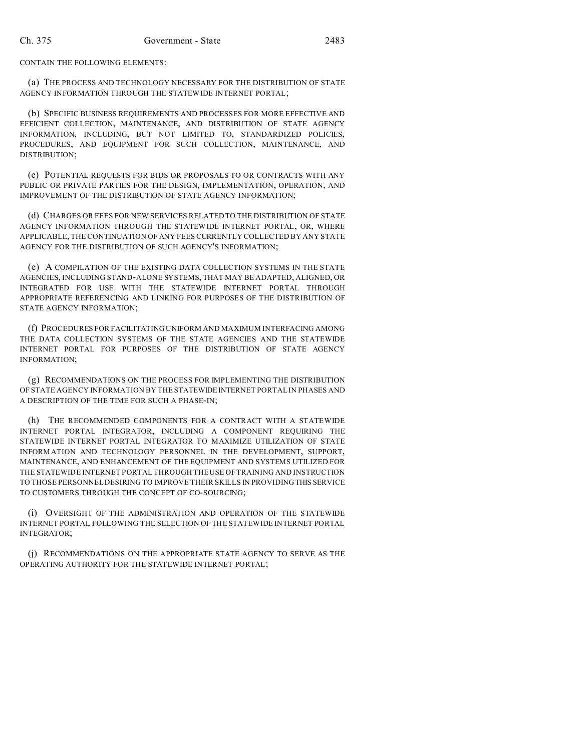CONTAIN THE FOLLOWING ELEMENTS:

(a) THE PROCESS AND TECHNOLOGY NECESSARY FOR THE DISTRIBUTION OF STATE AGENCY INFORMATION THROUGH THE STATEWIDE INTERNET PORTAL;

(b) SPECIFIC BUSINESS REQUIREMENTS AND PROCESSES FOR MORE EFFECTIVE AND EFFICIENT COLLECTION, MAINTENANCE, AND DISTRIBUTION OF STATE AGENCY INFORMATION, INCLUDING, BUT NOT LIMITED TO, STANDARDIZED POLICIES, PROCEDURES, AND EQUIPMENT FOR SUCH COLLECTION, MAINTENANCE, AND DISTRIBUTION;

(c) POTENTIAL REQUESTS FOR BIDS OR PROPOSALS TO OR CONTRACTS WITH ANY PUBLIC OR PRIVATE PARTIES FOR THE DESIGN, IMPLEMENTATION, OPERATION, AND IMPROVEMENT OF THE DISTRIBUTION OF STATE AGENCY INFORMATION;

(d) CHARGES OR FEES FOR NEW SERVICES RELATED TO THE DISTRIBUTION OF STATE AGENCY INFORMATION THROUGH THE STATEWIDE INTERNET PORTAL, OR, WHERE APPLICABLE, THE CONTINUATION OF ANY FEES CURRENTLY COLLECTED BY ANY STATE AGENCY FOR THE DISTRIBUTION OF SUCH AGENCY'S INFORMATION;

(e) A COMPILATION OF THE EXISTING DATA COLLECTION SYSTEMS IN THE STATE AGENCIES, INCLUDING STAND-ALONE SYSTEMS, THAT MAY BE ADAPTED, ALIGNED, OR INTEGRATED FOR USE WITH THE STATEWIDE INTERNET PORTAL THROUGH APPROPRIATE REFERENCING AND LINKING FOR PURPOSES OF THE DISTRIBUTION OF STATE AGENCY INFORMATION;

(f) PROCEDURES FOR FACILITATING UNIFORM AND MAXIMUM INTERFACING AMONG THE DATA COLLECTION SYSTEMS OF THE STATE AGENCIES AND THE STATEWIDE INTERNET PORTAL FOR PURPOSES OF THE DISTRIBUTION OF STATE AGENCY INFORMATION;

(g) RECOMMENDATIONS ON THE PROCESS FOR IMPLEMENTING THE DISTRIBUTION OF STATE AGENCY INFORMATION BY THE STATEWIDEINTERNET PORTAL IN PHASES AND A DESCRIPTION OF THE TIME FOR SUCH A PHASE-IN;

(h) THE RECOMMENDED COMPONENTS FOR A CONTRACT WITH A STATEWIDE INTERNET PORTAL INTEGRATOR, INCLUDING A COMPONENT REQUIRING THE STATEWIDE INTERNET PORTAL INTEGRATOR TO MAXIMIZE UTILIZATION OF STATE INFORMATION AND TECHNOLOGY PERSONNEL IN THE DEVELOPMENT, SUPPORT, MAINTENANCE, AND ENHANCEMENT OF THE EQUIPMENT AND SYSTEMS UTILIZED FOR THE STATEWIDE INTERNET PORTAL THROUGH THE USE OF TRAINING AND INSTRUCTION TO THOSE PERSONNEL DESIRING TO IMPROVE THEIR SKILLS IN PROVIDING THIS SERVICE TO CUSTOMERS THROUGH THE CONCEPT OF CO-SOURCING;

(i) OVERSIGHT OF THE ADMINISTRATION AND OPERATION OF THE STATEWIDE INTERNET PORTAL FOLLOWING THE SELECTION OF THE STATEWIDE INTERNET PORTAL INTEGRATOR;

(j) RECOMMENDATIONS ON THE APPROPRIATE STATE AGENCY TO SERVE AS THE OPERATING AUTHORITY FOR THE STATEWIDE INTERNET PORTAL;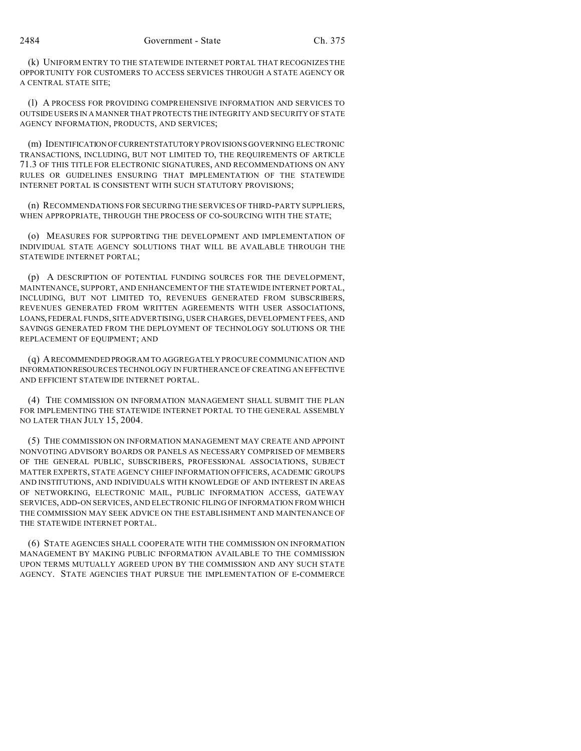(k) UNIFORM ENTRY TO THE STATEWIDE INTERNET PORTAL THAT RECOGNIZES THE OPPORTUNITY FOR CUSTOMERS TO ACCESS SERVICES THROUGH A STATE AGENCY OR A CENTRAL STATE SITE;

(l) A PROCESS FOR PROVIDING COMPREHENSIVE INFORMATION AND SERVICES TO OUTSIDE USERS IN A MANNER THAT PROTECTS THE INTEGRITY AND SECURITY OF STATE AGENCY INFORMATION, PRODUCTS, AND SERVICES;

(m) IDENTIFICATION OFCURRENTSTATUTORY PROVISIONS GOVERNING ELECTRONIC TRANSACTIONS, INCLUDING, BUT NOT LIMITED TO, THE REQUIREMENTS OF ARTICLE 71.3 OF THIS TITLE FOR ELECTRONIC SIGNATURES, AND RECOMMENDATIONS ON ANY RULES OR GUIDELINES ENSURING THAT IMPLEMENTATION OF THE STATEWIDE INTERNET PORTAL IS CONSISTENT WITH SUCH STATUTORY PROVISIONS;

(n) RECOMMENDATIONS FOR SECURING THE SERVICES OF THIRD-PARTY SUPPLIERS, WHEN APPROPRIATE, THROUGH THE PROCESS OF CO-SOURCING WITH THE STATE;

(o) MEASURES FOR SUPPORTING THE DEVELOPMENT AND IMPLEMENTATION OF INDIVIDUAL STATE AGENCY SOLUTIONS THAT WILL BE AVAILABLE THROUGH THE STATEWIDE INTERNET PORTAL;

(p) A DESCRIPTION OF POTENTIAL FUNDING SOURCES FOR THE DEVELOPMENT, MAINTENANCE, SUPPORT, AND ENHANCEMENT OF THE STATEWIDE INTERNET PORTAL, INCLUDING, BUT NOT LIMITED TO, REVENUES GENERATED FROM SUBSCRIBERS, REVENUES GENERATED FROM WRITTEN AGREEMENTS WITH USER ASSOCIATIONS, LOANS, FEDERAL FUNDS, SITE ADVERTISING, USER CHARGES, DEVELOPMENT FEES, AND SAVINGS GENERATED FROM THE DEPLOYMENT OF TECHNOLOGY SOLUTIONS OR THE REPLACEMENT OF EQUIPMENT; AND

(q) ARECOMMENDED PROGRAM TO AGGREGATELY PROCURE COMMUNICATION AND INFORMATIONRESOURCES TECHNOLOGY IN FURTHERANCE OF CREATING AN EFFECTIVE AND EFFICIENT STATEWIDE INTERNET PORTAL.

(4) THE COMMISSION ON INFORMATION MANAGEMENT SHALL SUBMIT THE PLAN FOR IMPLEMENTING THE STATEWIDE INTERNET PORTAL TO THE GENERAL ASSEMBLY NO LATER THAN JULY 15, 2004.

(5) THE COMMISSION ON INFORMATION MANAGEMENT MAY CREATE AND APPOINT NONVOTING ADVISORY BOARDS OR PANELS AS NECESSARY COMPRISED OF MEMBERS OF THE GENERAL PUBLIC, SUBSCRIBERS, PROFESSIONAL ASSOCIATIONS, SUBJECT MATTER EXPERTS, STATE AGENCY CHIEF INFORMATION OFFICERS, ACADEMIC GROUPS AND INSTITUTIONS, AND INDIVIDUALS WITH KNOWLEDGE OF AND INTEREST IN AREAS OF NETWORKING, ELECTRONIC MAIL, PUBLIC INFORMATION ACCESS, GATEWAY SERVICES, ADD-ON SERVICES, AND ELECTRONIC FILING OF INFORMATION FROM WHICH THE COMMISSION MAY SEEK ADVICE ON THE ESTABLISHMENT AND MAINTENANCE OF THE STATEWIDE INTERNET PORTAL.

(6) STATE AGENCIES SHALL COOPERATE WITH THE COMMISSION ON INFORMATION MANAGEMENT BY MAKING PUBLIC INFORMATION AVAILABLE TO THE COMMISSION UPON TERMS MUTUALLY AGREED UPON BY THE COMMISSION AND ANY SUCH STATE AGENCY. STATE AGENCIES THAT PURSUE THE IMPLEMENTATION OF E-COMMERCE